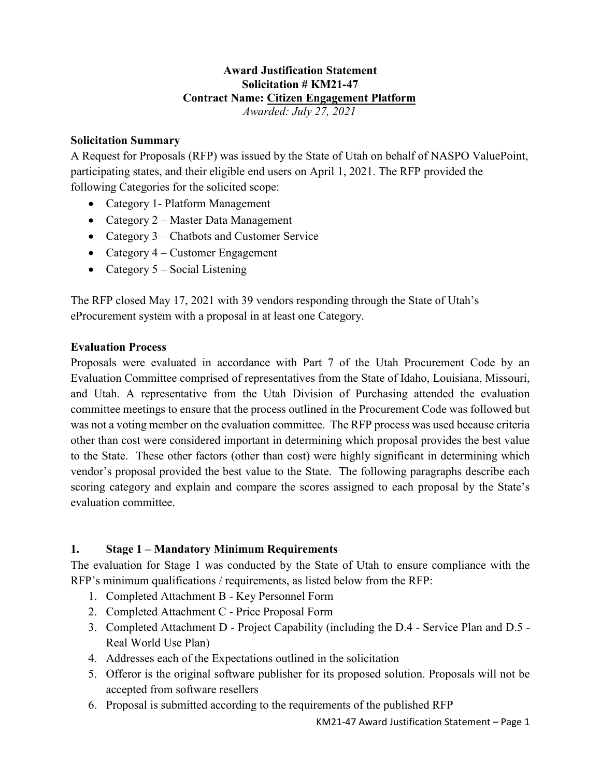#### **Award Justification Statement Solicitation # KM21-47 Contract Name: Citizen Engagement Platform** *Awarded: July 27, 2021*

### **Solicitation Summary**

A Request for Proposals (RFP) was issued by the State of Utah on behalf of NASPO ValuePoint, participating states, and their eligible end users on April 1, 2021. The RFP provided the following Categories for the solicited scope:

- Category 1 Platform Management
- Category 2 Master Data Management
- Category 3 Chatbots and Customer Service
- Category 4 Customer Engagement
- Category 5 Social Listening

The RFP closed May 17, 2021 with 39 vendors responding through the State of Utah's eProcurement system with a proposal in at least one Category.

### **Evaluation Process**

Proposals were evaluated in accordance with Part 7 of the Utah Procurement Code by an Evaluation Committee comprised of representatives from the State of Idaho, Louisiana, Missouri, and Utah. A representative from the Utah Division of Purchasing attended the evaluation committee meetings to ensure that the process outlined in the Procurement Code was followed but was not a voting member on the evaluation committee. The RFP process was used because criteria other than cost were considered important in determining which proposal provides the best value to the State. These other factors (other than cost) were highly significant in determining which vendor's proposal provided the best value to the State. The following paragraphs describe each scoring category and explain and compare the scores assigned to each proposal by the State's evaluation committee.

### **1. Stage 1 – Mandatory Minimum Requirements**

The evaluation for Stage 1 was conducted by the State of Utah to ensure compliance with the RFP's minimum qualifications / requirements, as listed below from the RFP:

- 1. Completed Attachment B Key Personnel Form
- 2. Completed Attachment C Price Proposal Form
- 3. Completed Attachment D Project Capability (including the D.4 Service Plan and D.5 Real World Use Plan)
- 4. Addresses each of the Expectations outlined in the solicitation
- 5. Offeror is the original software publisher for its proposed solution. Proposals will not be accepted from software resellers
- 6. Proposal is submitted according to the requirements of the published RFP

KM21-47 Award Justification Statement – Page 1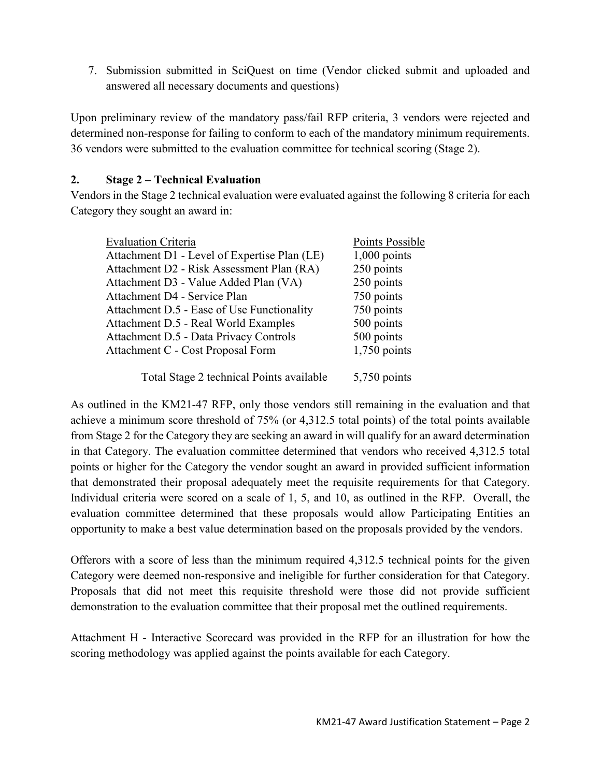7. Submission submitted in SciQuest on time (Vendor clicked submit and uploaded and answered all necessary documents and questions)

Upon preliminary review of the mandatory pass/fail RFP criteria, 3 vendors were rejected and determined non-response for failing to conform to each of the mandatory minimum requirements. 36 vendors were submitted to the evaluation committee for technical scoring (Stage 2).

## **2. Stage 2 – Technical Evaluation**

Vendors in the Stage 2 technical evaluation were evaluated against the following 8 criteria for each Category they sought an award in:

| <b>Evaluation Criteria</b>                   | Points Possible |
|----------------------------------------------|-----------------|
| Attachment D1 - Level of Expertise Plan (LE) | $1,000$ points  |
| Attachment D2 - Risk Assessment Plan (RA)    | 250 points      |
| Attachment D3 - Value Added Plan (VA)        | 250 points      |
| Attachment D4 - Service Plan                 | 750 points      |
| Attachment D.5 - Ease of Use Functionality   | 750 points      |
| Attachment D.5 - Real World Examples         | 500 points      |
| Attachment D.5 - Data Privacy Controls       | 500 points      |
| Attachment C - Cost Proposal Form            | $1,750$ points  |
| Total Stage 2 technical Points available     | $5,750$ points  |

As outlined in the KM21-47 RFP, only those vendors still remaining in the evaluation and that achieve a minimum score threshold of 75% (or 4,312.5 total points) of the total points available from Stage 2 for the Category they are seeking an award in will qualify for an award determination in that Category. The evaluation committee determined that vendors who received 4,312.5 total points or higher for the Category the vendor sought an award in provided sufficient information that demonstrated their proposal adequately meet the requisite requirements for that Category. Individual criteria were scored on a scale of 1, 5, and 10, as outlined in the RFP. Overall, the evaluation committee determined that these proposals would allow Participating Entities an opportunity to make a best value determination based on the proposals provided by the vendors.

Offerors with a score of less than the minimum required 4,312.5 technical points for the given Category were deemed non-responsive and ineligible for further consideration for that Category. Proposals that did not meet this requisite threshold were those did not provide sufficient demonstration to the evaluation committee that their proposal met the outlined requirements.

Attachment H - Interactive Scorecard was provided in the RFP for an illustration for how the scoring methodology was applied against the points available for each Category.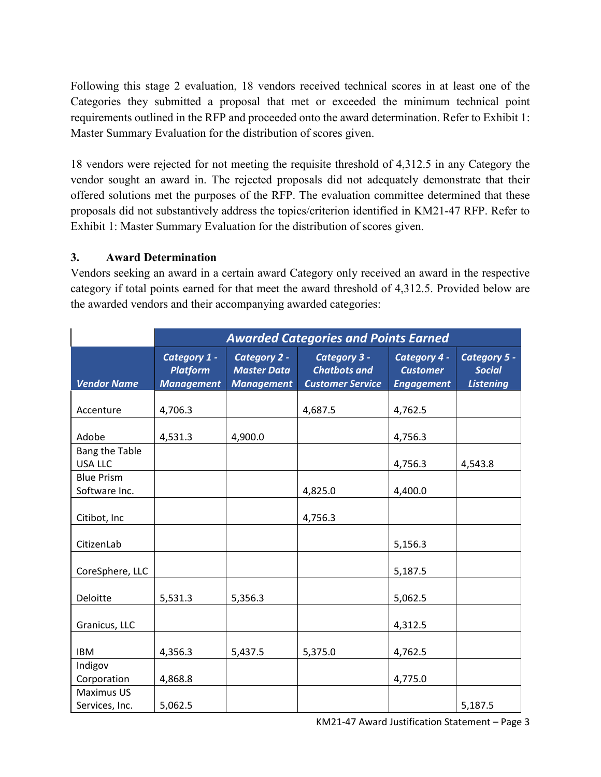Following this stage 2 evaluation, 18 vendors received technical scores in at least one of the Categories they submitted a proposal that met or exceeded the minimum technical point requirements outlined in the RFP and proceeded onto the award determination. Refer to Exhibit 1: Master Summary Evaluation for the distribution of scores given.

18 vendors were rejected for not meeting the requisite threshold of 4,312.5 in any Category the vendor sought an award in. The rejected proposals did not adequately demonstrate that their offered solutions met the purposes of the RFP. The evaluation committee determined that these proposals did not substantively address the topics/criterion identified in KM21-47 RFP. Refer to Exhibit 1: Master Summary Evaluation for the distribution of scores given.

# **3. Award Determination**

Vendors seeking an award in a certain award Category only received an award in the respective category if total points earned for that meet the award threshold of 4,312.5. Provided below are the awarded vendors and their accompanying awarded categories:

|                                     | <b>Awarded Categories and Points Earned</b>          |                                                         |                                                                |                                                      |                                                   |
|-------------------------------------|------------------------------------------------------|---------------------------------------------------------|----------------------------------------------------------------|------------------------------------------------------|---------------------------------------------------|
| <b>Vendor Name</b>                  | Category 1 -<br><b>Platform</b><br><b>Management</b> | Category 2 -<br><b>Master Data</b><br><b>Management</b> | Category 3 -<br><b>Chatbots and</b><br><b>Customer Service</b> | Category 4 -<br><b>Customer</b><br><b>Engagement</b> | Category 5 -<br><b>Social</b><br><b>Listening</b> |
| Accenture                           | 4,706.3                                              |                                                         | 4,687.5                                                        | 4,762.5                                              |                                                   |
| Adobe                               | 4,531.3                                              | 4,900.0                                                 |                                                                | 4,756.3                                              |                                                   |
| Bang the Table<br><b>USA LLC</b>    |                                                      |                                                         |                                                                | 4,756.3                                              | 4,543.8                                           |
| <b>Blue Prism</b><br>Software Inc.  |                                                      |                                                         | 4,825.0                                                        | 4,400.0                                              |                                                   |
| Citibot, Inc                        |                                                      |                                                         | 4,756.3                                                        |                                                      |                                                   |
| CitizenLab                          |                                                      |                                                         |                                                                | 5,156.3                                              |                                                   |
| CoreSphere, LLC                     |                                                      |                                                         |                                                                | 5,187.5                                              |                                                   |
| Deloitte                            | 5,531.3                                              | 5,356.3                                                 |                                                                | 5,062.5                                              |                                                   |
| Granicus, LLC                       |                                                      |                                                         |                                                                | 4,312.5                                              |                                                   |
| <b>IBM</b>                          | 4,356.3                                              | 5,437.5                                                 | 5,375.0                                                        | 4,762.5                                              |                                                   |
| Indigov<br>Corporation              | 4,868.8                                              |                                                         |                                                                | 4,775.0                                              |                                                   |
| <b>Maximus US</b><br>Services, Inc. | 5,062.5                                              |                                                         |                                                                |                                                      | 5,187.5                                           |

KM21-47 Award Justification Statement – Page 3